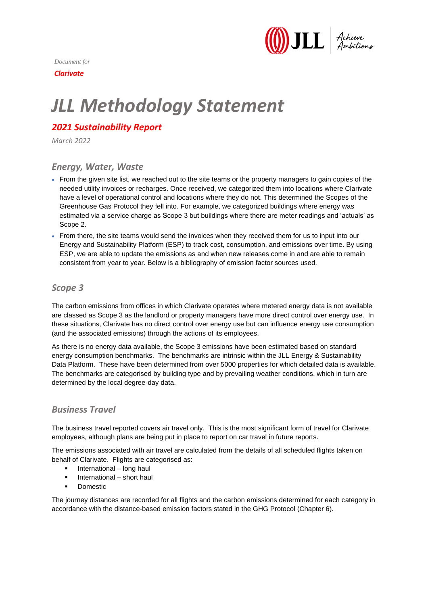

*Document for*

*Clarivate*

# *JLL Methodology Statement*

# *2021 Sustainability Report*

*March 2022*

#### *Energy, Water, Waste*

- From the given site list, we reached out to the site teams or the property managers to gain copies of the needed utility invoices or recharges. Once received, we categorized them into locations where Clarivate have a level of operational control and locations where they do not. This determined the Scopes of the Greenhouse Gas Protocol they fell into. For example, we categorized buildings where energy was estimated via a service charge as Scope 3 but buildings where there are meter readings and 'actuals' as Scope 2.
- From there, the site teams would send the invoices when they received them for us to input into our Energy and Sustainability Platform (ESP) to track cost, consumption, and emissions over time. By using ESP, we are able to update the emissions as and when new releases come in and are able to remain consistent from year to year. Below is a bibliography of emission factor sources used.

#### *Scope 3*

The carbon emissions from offices in which Clarivate operates where metered energy data is not available are classed as Scope 3 as the landlord or property managers have more direct control over energy use. In these situations, Clarivate has no direct control over energy use but can influence energy use consumption (and the associated emissions) through the actions of its employees.

As there is no energy data available, the Scope 3 emissions have been estimated based on standard energy consumption benchmarks. The benchmarks are intrinsic within the JLL Energy & Sustainability Data Platform. These have been determined from over 5000 properties for which detailed data is available. The benchmarks are categorised by building type and by prevailing weather conditions, which in turn are determined by the local degree-day data.

#### *Business Travel*

The business travel reported covers air travel only. This is the most significant form of travel for Clarivate employees, although plans are being put in place to report on car travel in future reports.

The emissions associated with air travel are calculated from the details of all scheduled flights taken on behalf of Clarivate. Flights are categorised as:

- International long haul
- International short haul
- **Domestic**

The journey distances are recorded for all flights and the carbon emissions determined for each category in accordance with the distance-based emission factors stated in the GHG Protocol (Chapter 6).